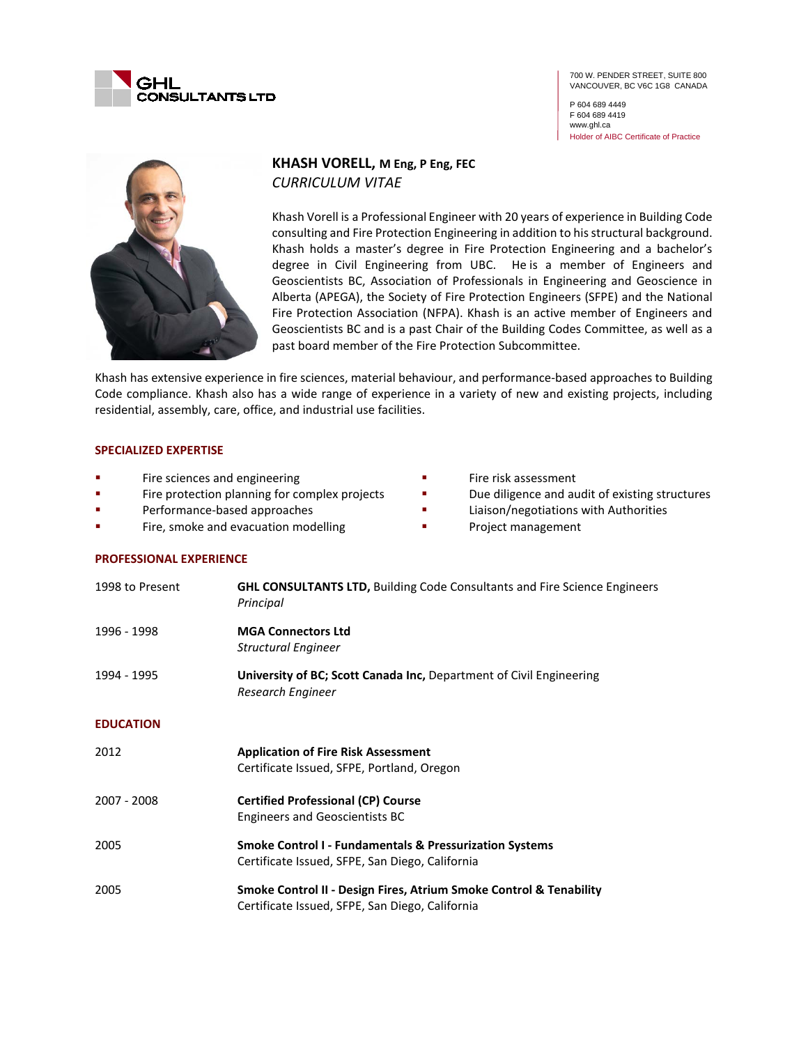

700 W. PENDER STREET, SUITE 800 VANCOUVER, BC V6C 1G8 CANADA

P 604 689 4449 F 604 689 4419 www.ghl.ca Holder of AIBC Certificate of Practice



# **KHASH VORELL, M Eng, P Eng, FEC** *CURRICULUM VITAE*

Khash Vorell is a Professional Engineer with 20 years of experience in Building Code consulting and Fire Protection Engineering in addition to his structural background. Khash holds a master's degree in Fire Protection Engineering and a bachelor's degree in Civil Engineering from UBC. He is a member of Engineers and Geoscientists BC, Association of Professionals in Engineering and Geoscience in Alberta (APEGA), the Society of Fire Protection Engineers (SFPE) and the National Fire Protection Association (NFPA). Khash is an active member of Engineers and Geoscientists BC and is a past Chair of the Building Codes Committee, as well as a past board member of the Fire Protection Subcommittee.

Khash has extensive experience in fire sciences, material behaviour, and performance-based approaches to Building Code compliance. Khash also has a wide range of experience in a variety of new and existing projects, including residential, assembly, care, office, and industrial use facilities.

### **SPECIALIZED EXPERTISE**

- Fire sciences and engineering
- **Fire protection planning for complex projects**
- **Performance-based approaches**
- Fire, smoke and evacuation modelling
- Fire risk assessment
- Due diligence and audit of existing structures
- **EXECUTE:** Liaison/negotiations with Authorities
- **Project management**

### **PROFESSIONAL EXPERIENCE**

| 1998 to Present  | <b>GHL CONSULTANTS LTD, Building Code Consultants and Fire Science Engineers</b><br>Principal                         |
|------------------|-----------------------------------------------------------------------------------------------------------------------|
| 1996 - 1998      | <b>MGA Connectors Ltd</b><br><b>Structural Engineer</b>                                                               |
| 1994 - 1995      | University of BC; Scott Canada Inc, Department of Civil Engineering<br>Research Engineer                              |
| <b>EDUCATION</b> |                                                                                                                       |
| 2012             | <b>Application of Fire Risk Assessment</b><br>Certificate Issued, SFPE, Portland, Oregon                              |
| 2007 - 2008      | <b>Certified Professional (CP) Course</b><br><b>Engineers and Geoscientists BC</b>                                    |
| 2005             | <b>Smoke Control I - Fundamentals &amp; Pressurization Systems</b><br>Certificate Issued, SFPE, San Diego, California |
| 2005             | Smoke Control II - Design Fires, Atrium Smoke Control & Tenability<br>Certificate Issued, SFPE, San Diego, California |